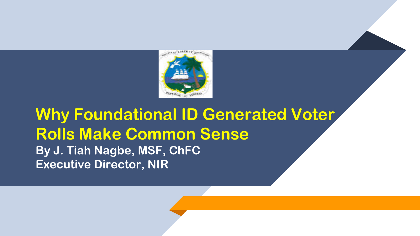

#### **Why Foundational ID Generated Voter Rolls Make Common Sense By J. Tiah Nagbe, MSF, ChFC Executive Director, NIR**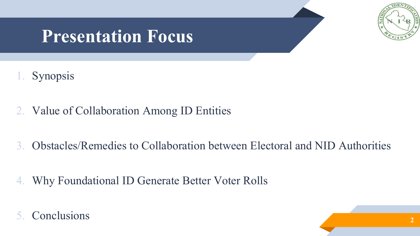

# **Presentation Focus**

- **Synopsis**
- 2. Value of Collaboration Among ID Entities
- 3. Obstacles/Remedies to Collaboration between Electoral and NID Authorities
- 4. Why Foundational ID Generate Better Voter Rolls
- 5. Conclusions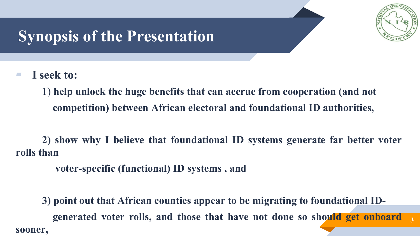

#### **Synopsis of the Presentation**

▰ **I seek to:**

1) **help unlock the huge benefits that can accrue from cooperation (and not competition) between African electoral and foundational ID authorities,**

**2) show why I believe that foundational ID systems generate far better voter rolls than**

**voter-specific (functional) ID systems , and**

**3 3) point out that African counties appear to be migrating to foundational IDgenerated voter rolls, and those that have not done so should get onboard sooner,**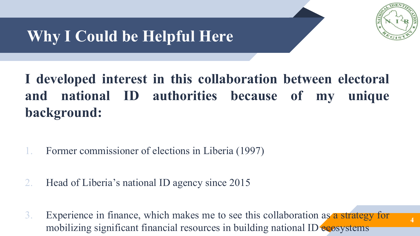

**4**

# **Why I Could be Helpful Here**

#### **I developed interest in this collaboration between electoral and national ID authorities because of my unique background:**

- 1. Former commissioner of elections in Liberia (1997)
- 2. Head of Liberia's national ID agency since 2015
- 3. Experience in finance, which makes me to see this collaboration as a strategy for mobilizing significant financial resources in building national ID ecosystems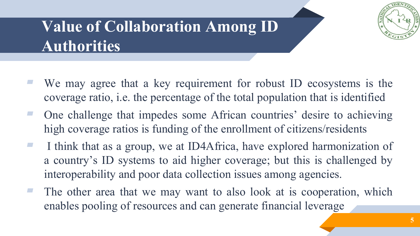

# **Value of Collaboration Among ID Authorities**

- We may agree that a key requirement for robust ID ecosystems is the coverage ratio, i.e. the percentage of the total population that is identified
- ▰ One challenge that impedes some African countries' desire to achieving high coverage ratios is funding of the enrollment of citizens/residents
- ▰ I think that as a group, we at ID4Africa, have explored harmonization of a country's ID systems to aid higher coverage; but this is challenged by interoperability and poor data collection issues among agencies.
- The other area that we may want to also look at is cooperation, which enables pooling of resources and can generate financial leverage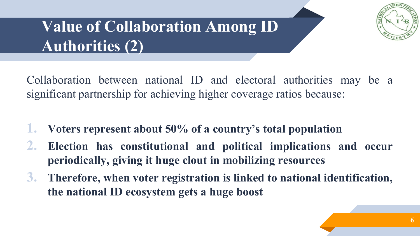

# **Value of Collaboration Among ID Authorities (2)**

Collaboration between national ID and electoral authorities may be a significant partnership for achieving higher coverage ratios because:

- **1. Voters represent about 50% of a country's total population**
- **2. Election has constitutional and political implications and occur periodically, giving it huge clout in mobilizing resources**
- **3. Therefore, when voter registration is linked to national identification, the national ID ecosystem gets a huge boost**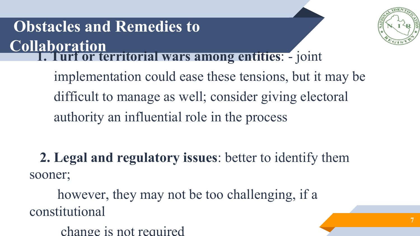# **Obstacles and Remedies to Collaboration 1. Turf or territorial wars among entities**: - joint



**7**

implementation could ease these tensions, but it may be difficult to manage as well; consider giving electoral authority an influential role in the process

**2. Legal and regulatory issues**: better to identify them sooner;

however, they may not be too challenging, if a constitutional

change is not required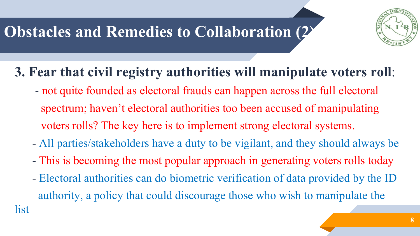# **Obstacles and Remedies to Collaboration (2)**

list



#### **3. Fear that civil registry authorities will manipulate voters roll**:

- not quite founded as electoral frauds can happen across the full electoral spectrum; haven't electoral authorities too been accused of manipulating voters rolls? The key here is to implement strong electoral systems.
- All parties/stakeholders have a duty to be vigilant, and they should always be
- This is becoming the most popular approach in generating voters rolls today
- Electoral authorities can do biometric verification of data provided by the ID authority, a policy that could discourage those who wish to manipulate the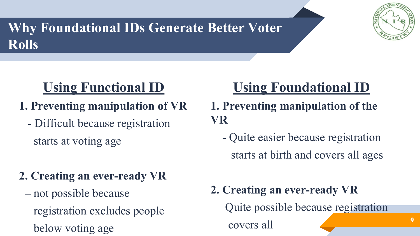# **Why Foundational IDs Generate Better Voter Rolls**



#### **Using Functional ID**

- **1. Preventing manipulation of VR** 
	- Difficult because registration starts at voting age

#### **2. Creating an ever-ready VR**

**–** not possible because registration excludes people below voting age

## **Using Foundational ID**

- **1. Preventing manipulation of the VR**
	- Quite easier because registration starts at birth and covers all ages

#### **2. Creating an ever-ready VR**

– Quite possible because registration

covers all **9**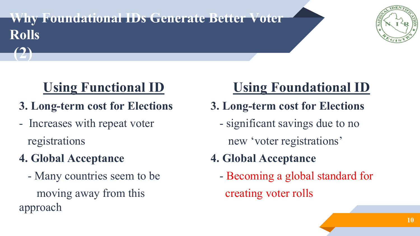#### **Why Foundational IDs Generate Better Voter Rolls**



#### **Using Functional ID**

- **3. Long-term cost for Elections**
- Increases with repeat voter registrations
- **4. Global Acceptance**

**(2)**

- Many countries seem to be moving away from this approach

# **Using Foundational ID**

- **3. Long-term cost for Elections**
	- significant savings due to no new 'voter registrations'
- **4. Global Acceptance**
	- Becoming a global standard for creating voter rolls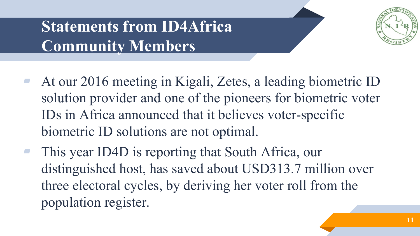# **Statements from ID4Africa Community Members**



- At our 2016 meeting in Kigali, Zetes, a leading biometric ID solution provider and one of the pioneers for biometric voter IDs in Africa announced that it believes voter-specific biometric ID solutions are not optimal.
	- This year ID4D is reporting that South Africa, our distinguished host, has saved about USD313.7 million over three electoral cycles, by deriving her voter roll from the population register.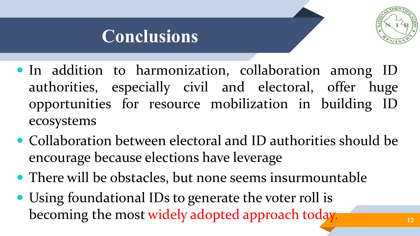

# **Conclusions**

- In addition to harmonization, collaboration among ID authorities, especially civil and electoral, offer huge opportunities for resource mobilization in building ID ecosystems
- Collaboration between electoral and ID authorities should be encourage because elections have leverage
- There will be obstacles, but none seems insurmountable
- Using foundational IDs to generate the voter roll is becoming the most widely adopted approach today.